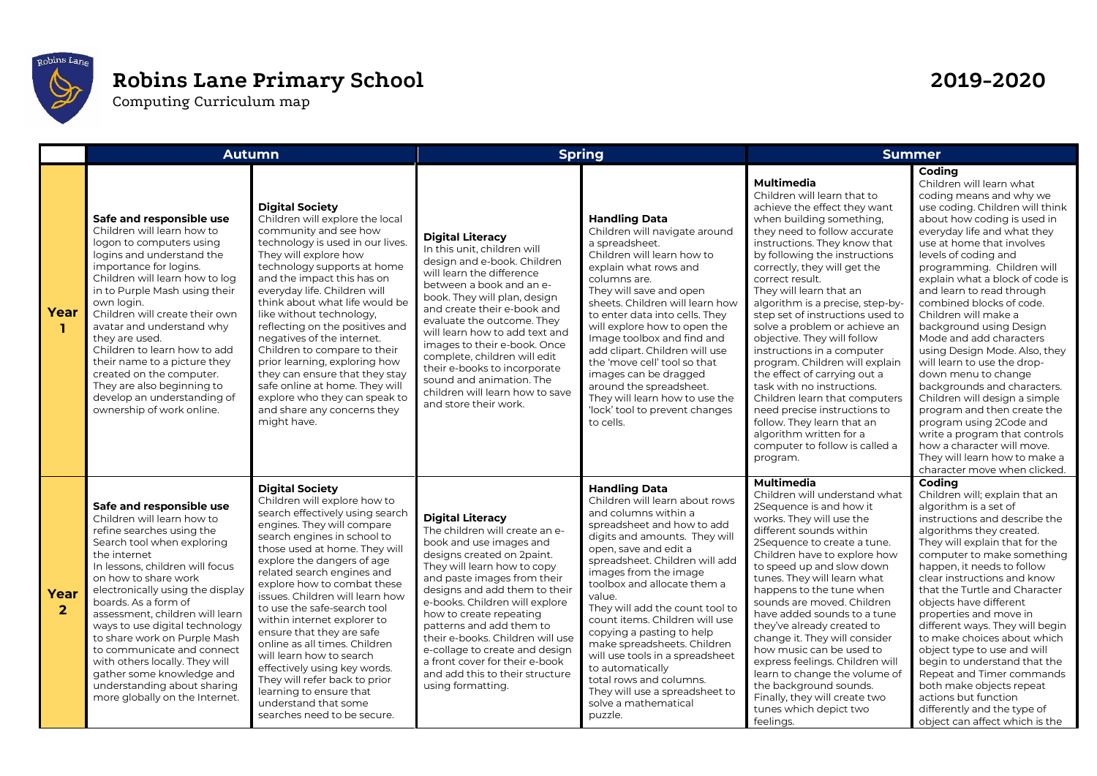

## **Robins Lane Primary School 2019-2020**

Computing Curriculum map

|                        | <b>Autumn</b>                                                                                                                                                                                                                                                                                                                                                                                                                                                                                                               |                                                                                                                                                                                                                                                                                                                                                                                                                                                                                                                                                                                                                                  | <b>Spring</b>                                                                                                                                                                                                                                                                                                                                                                                                                                                              |                                                                                                                                                                                                                                                                                                                                                                                                                                                                                                                                                                    | <b>Summer</b>                                                                                                                                                                                                                                                                                                                                                                                                                                                                                                                                                                                                                                                                                                                             |                                                                                                                                                                                                                                                                                                                                                                                                                                                                                                                                                                                                                                                                                                                                                                              |
|------------------------|-----------------------------------------------------------------------------------------------------------------------------------------------------------------------------------------------------------------------------------------------------------------------------------------------------------------------------------------------------------------------------------------------------------------------------------------------------------------------------------------------------------------------------|----------------------------------------------------------------------------------------------------------------------------------------------------------------------------------------------------------------------------------------------------------------------------------------------------------------------------------------------------------------------------------------------------------------------------------------------------------------------------------------------------------------------------------------------------------------------------------------------------------------------------------|----------------------------------------------------------------------------------------------------------------------------------------------------------------------------------------------------------------------------------------------------------------------------------------------------------------------------------------------------------------------------------------------------------------------------------------------------------------------------|--------------------------------------------------------------------------------------------------------------------------------------------------------------------------------------------------------------------------------------------------------------------------------------------------------------------------------------------------------------------------------------------------------------------------------------------------------------------------------------------------------------------------------------------------------------------|-------------------------------------------------------------------------------------------------------------------------------------------------------------------------------------------------------------------------------------------------------------------------------------------------------------------------------------------------------------------------------------------------------------------------------------------------------------------------------------------------------------------------------------------------------------------------------------------------------------------------------------------------------------------------------------------------------------------------------------------|------------------------------------------------------------------------------------------------------------------------------------------------------------------------------------------------------------------------------------------------------------------------------------------------------------------------------------------------------------------------------------------------------------------------------------------------------------------------------------------------------------------------------------------------------------------------------------------------------------------------------------------------------------------------------------------------------------------------------------------------------------------------------|
| Year<br>ı.             | Safe and responsible use<br>Children will learn how to<br>logon to computers using<br>logins and understand the<br>importance for logins.<br>Children will learn how to log<br>in to Purple Mash using their<br>own login.<br>Children will create their own<br>avatar and understand why<br>they are used.<br>Children to learn how to add<br>their name to a picture they<br>created on the computer.<br>They are also beginning to<br>develop an understanding of<br>ownership of work online.                           | <b>Digital Society</b><br>Children will explore the local<br>community and see how<br>technology is used in our lives.<br>They will explore how<br>technology supports at home<br>and the impact this has on<br>everyday life. Children will<br>think about what life would be<br>like without technology,<br>reflecting on the positives and<br>negatives of the internet.<br>Children to compare to their<br>prior learning, exploring how<br>they can ensure that they stay<br>safe online at home. They will<br>explore who they can speak to<br>and share any concerns they<br>might have.                                  | <b>Digital Literacy</b><br>In this unit, children will<br>design and e-book. Children<br>will learn the difference<br>between a book and an e-<br>book. They will plan, design<br>and create their e-book and<br>evaluate the outcome. They<br>will learn how to add text and<br>images to their e-book. Once<br>complete, children will edit<br>their e-books to incorporate<br>sound and animation. The<br>children will learn how to save<br>and store their work.      | <b>Handling Data</b><br>Children will navigate around<br>a spreadsheet.<br>Children will learn how to<br>explain what rows and<br>columns are.<br>They will save and open<br>sheets. Children will learn how<br>to enter data into cells. They<br>will explore how to open the<br>Image toolbox and find and<br>add clipart. Children will use<br>the 'move cell' tool so that<br>images can be dragged<br>around the spreadsheet.<br>They will learn how to use the<br>'lock' tool to prevent changes<br>to cells.                                                | <b>Multimedia</b><br>Children will learn that to<br>achieve the effect they want<br>when building something,<br>they need to follow accurate<br>instructions. They know that<br>by following the instructions<br>correctly, they will get the<br>correct result.<br>They will learn that an<br>algorithm is a precise, step-by-<br>step set of instructions used to<br>solve a problem or achieve an<br>objective. They will follow<br>instructions in a computer<br>program. Children will explain<br>the effect of carrying out a<br>task with no instructions.<br>Children learn that computers<br>need precise instructions to<br>follow. They learn that an<br>algorithm written for a<br>computer to follow is called a<br>program. | Coding<br>Children will learn what<br>coding means and why we<br>use coding. Children will think<br>about how coding is used in<br>everyday life and what they<br>use at home that involves<br>levels of coding and<br>programming. Children will<br>explain what a block of code is<br>and learn to read through<br>combined blocks of code.<br>Children will make a<br>background using Design<br>Mode and add characters<br>using Design Mode. Also, they<br>will learn to use the drop-<br>down menu to change<br>backgrounds and characters.<br>Children will design a simple<br>program and then create the<br>program using 2Code and<br>write a program that controls<br>how a character will move.<br>They will learn how to make a<br>character move when clicked. |
| Year<br>$\overline{2}$ | Safe and responsible use<br>Children will learn how to<br>refine searches using the<br>Search tool when exploring<br>the internet<br>In lessons, children will focus<br>on how to share work<br>electronically using the display<br>boards. As a form of<br>assessment, children will learn<br>ways to use digital technology<br>to share work on Purple Mash<br>to communicate and connect<br>with others locally. They will<br>gather some knowledge and<br>understanding about sharing<br>more globally on the Internet. | <b>Digital Society</b><br>Children will explore how to<br>search effectively using search<br>engines. They will compare<br>search engines in school to<br>those used at home. They will<br>explore the dangers of age<br>related search engines and<br>explore how to combat these<br>issues. Children will learn how<br>to use the safe-search tool<br>within internet explorer to<br>ensure that they are safe<br>online as all times. Children<br>will learn how to search<br>effectively using key words.<br>They will refer back to prior<br>learning to ensure that<br>understand that some<br>searches need to be secure. | <b>Digital Literacy</b><br>The children will create an e-<br>book and use images and<br>designs created on 2paint.<br>They will learn how to copy<br>and paste images from their<br>designs and add them to their<br>e-books. Children will explore<br>how to create repeating<br>patterns and add them to<br>their e-books. Children will use<br>e-collage to create and design<br>a front cover for their e-book<br>and add this to their structure<br>using formatting. | <b>Handling Data</b><br>Children will learn about rows<br>and columns within a<br>spreadsheet and how to add<br>digits and amounts. They will<br>open, save and edit a<br>spreadsheet. Children will add<br>images from the image<br>toolbox and allocate them a<br>value.<br>They will add the count tool to<br>count items. Children will use<br>copying a pasting to help<br>make spreadsheets. Children<br>will use tools in a spreadsheet<br>to automatically<br>total rows and columns.<br>They will use a spreadsheet to<br>solve a mathematical<br>puzzle. | <b>Multimedia</b><br>Children will understand what<br>2Sequence is and how it<br>works. They will use the<br>different sounds within<br>2Sequence to create a tune.<br>Children have to explore how<br>to speed up and slow down<br>tunes. They will learn what<br>happens to the tune when<br>sounds are moved. Children<br>have added sounds to a tune<br>they've already created to<br>change it. They will consider<br>how music can be used to<br>express feelings. Children will<br>learn to change the volume of<br>the background sounds.<br>Finally, they will create two<br>tunes which depict two<br>feelings.                                                                                                                 | Codina<br>Children will; explain that an<br>algorithm is a set of<br>instructions and describe the<br>algorithms they created.<br>They will explain that for the<br>computer to make something<br>happen, it needs to follow<br>clear instructions and know<br>that the Turtle and Character<br>objects have different<br>properties and move in<br>different ways. They will begin<br>to make choices about which<br>object type to use and will<br>begin to understand that the<br>Repeat and Timer commands<br>both make objects repeat<br>actions but function<br>differently and the type of<br>object can affect which is the                                                                                                                                          |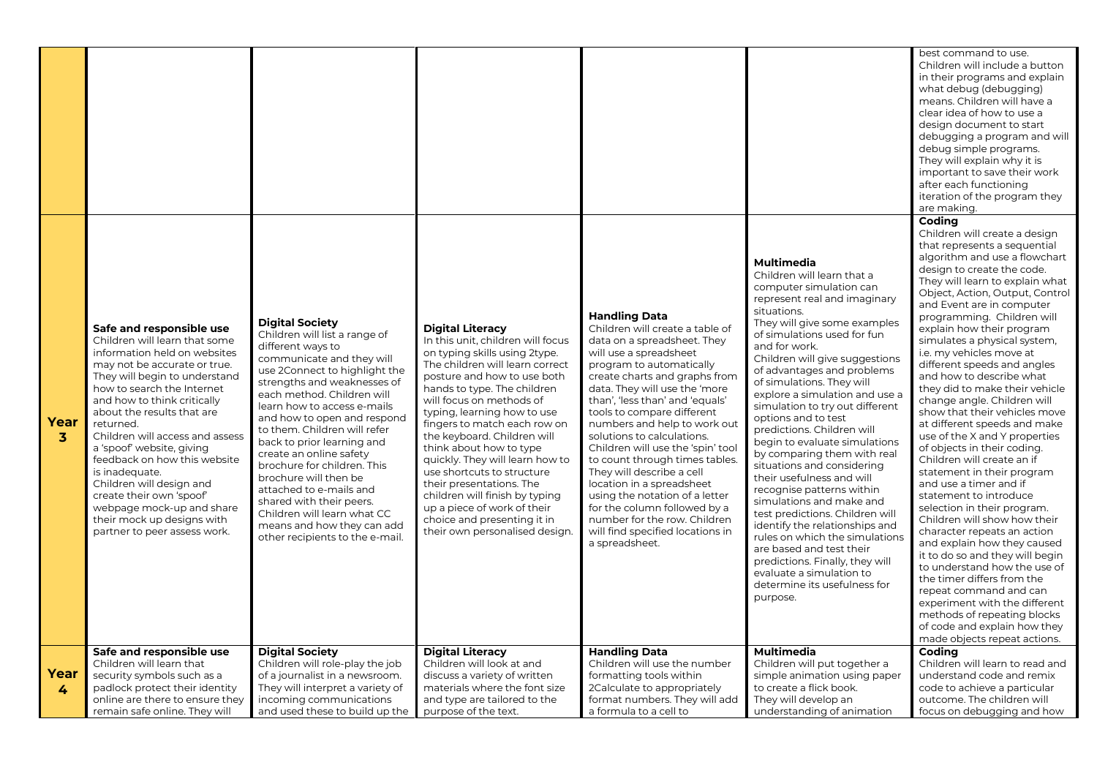|                      |                                                                                                                                                                                                                                                                                                                                                                                                                                                                                                                                         |                                                                                                                                                                                                                                                                                                                                                                                                                                                                                                                                                                               |                                                                                                                                                                                                                                                                                                                                                                                                                                                                                                                                                                                    |                                                                                                                                                                                                                                                                                                                                                                                                                                                                                                                                                                                                                                 |                                                                                                                                                                                                                                                                                                                                                                                                                                                                                                                                                                                                                                                                                                                                                                                                                                                             | best command to use.<br>Children will include a button<br>in their programs and explain<br>what debug (debugging)<br>means. Children will have a<br>clear idea of how to use a<br>design document to start<br>debugging a program and will<br>debug simple programs.<br>They will explain why it is<br>important to save their work<br>after each functioning<br>iteration of the program they<br>are making.                                                                                                                                                                                                                                                                                                                                                                                                                                                                                                                                                                                                                                                                                                                         |
|----------------------|-----------------------------------------------------------------------------------------------------------------------------------------------------------------------------------------------------------------------------------------------------------------------------------------------------------------------------------------------------------------------------------------------------------------------------------------------------------------------------------------------------------------------------------------|-------------------------------------------------------------------------------------------------------------------------------------------------------------------------------------------------------------------------------------------------------------------------------------------------------------------------------------------------------------------------------------------------------------------------------------------------------------------------------------------------------------------------------------------------------------------------------|------------------------------------------------------------------------------------------------------------------------------------------------------------------------------------------------------------------------------------------------------------------------------------------------------------------------------------------------------------------------------------------------------------------------------------------------------------------------------------------------------------------------------------------------------------------------------------|---------------------------------------------------------------------------------------------------------------------------------------------------------------------------------------------------------------------------------------------------------------------------------------------------------------------------------------------------------------------------------------------------------------------------------------------------------------------------------------------------------------------------------------------------------------------------------------------------------------------------------|-------------------------------------------------------------------------------------------------------------------------------------------------------------------------------------------------------------------------------------------------------------------------------------------------------------------------------------------------------------------------------------------------------------------------------------------------------------------------------------------------------------------------------------------------------------------------------------------------------------------------------------------------------------------------------------------------------------------------------------------------------------------------------------------------------------------------------------------------------------|---------------------------------------------------------------------------------------------------------------------------------------------------------------------------------------------------------------------------------------------------------------------------------------------------------------------------------------------------------------------------------------------------------------------------------------------------------------------------------------------------------------------------------------------------------------------------------------------------------------------------------------------------------------------------------------------------------------------------------------------------------------------------------------------------------------------------------------------------------------------------------------------------------------------------------------------------------------------------------------------------------------------------------------------------------------------------------------------------------------------------------------|
| Year<br>$\mathbf{3}$ | Safe and responsible use<br>Children will learn that some<br>information held on websites<br>may not be accurate or true.<br>They will begin to understand<br>how to search the Internet<br>and how to think critically<br>about the results that are<br>returned.<br>Children will access and assess<br>a 'spoof' website, giving<br>feedback on how this website<br>is inadequate.<br>Children will design and<br>create their own 'spoof'<br>webpage mock-up and share<br>their mock up designs with<br>partner to peer assess work. | <b>Digital Society</b><br>Children will list a range of<br>different ways to<br>communicate and they will<br>use 2Connect to highlight the<br>strengths and weaknesses of<br>each method. Children will<br>learn how to access e-mails<br>and how to open and respond<br>to them. Children will refer<br>back to prior learning and<br>create an online safety<br>brochure for children. This<br>brochure will then be<br>attached to e-mails and<br>shared with their peers.<br>Children will learn what CC<br>means and how they can add<br>other recipients to the e-mail. | <b>Digital Literacy</b><br>In this unit, children will focus<br>on typing skills using 2type.<br>The children will learn correct<br>posture and how to use both<br>hands to type. The children<br>will focus on methods of<br>typing, learning how to use<br>fingers to match each row on<br>the keyboard. Children will<br>think about how to type<br>quickly. They will learn how to<br>use shortcuts to structure<br>their presentations. The<br>children will finish by typing<br>up a piece of work of their<br>choice and presenting it in<br>their own personalised design. | Handling Data<br>Children will create a table of<br>data on a spreadsheet. They<br>will use a spreadsheet<br>program to automatically<br>create charts and graphs from<br>data. They will use the 'more<br>than', 'less than' and 'equals'<br>tools to compare different<br>numbers and help to work out<br>solutions to calculations.<br>Children will use the 'spin' tool<br>to count through times tables.<br>They will describe a cell<br>location in a spreadsheet<br>using the notation of a letter<br>for the column followed by a<br>number for the row. Children<br>will find specified locations in<br>a spreadsheet. | Multimedia<br>Children will learn that a<br>computer simulation can<br>represent real and imaginary<br>situations.<br>They will give some examples<br>of simulations used for fun<br>and for work.<br>Children will give suggestions<br>of advantages and problems<br>of simulations. They will<br>explore a simulation and use a<br>simulation to try out different<br>options and to test<br>predictions. Children will<br>begin to evaluate simulations<br>by comparing them with real<br>situations and considering<br>their usefulness and will<br>recognise patterns within<br>simulations and make and<br>test predictions. Children will<br>identify the relationships and<br>rules on which the simulations<br>are based and test their<br>predictions. Finally, they will<br>evaluate a simulation to<br>determine its usefulness for<br>purpose. | Codina<br>Children will create a design<br>that represents a sequential<br>algorithm and use a flowchart<br>design to create the code.<br>They will learn to explain what<br>Object, Action, Output, Control<br>and Event are in computer<br>programming. Children will<br>explain how their program<br>simulates a physical system,<br>i.e. my vehicles move at<br>different speeds and angles<br>and how to describe what<br>they did to make their vehicle<br>change angle. Children will<br>show that their vehicles move<br>at different speeds and make<br>use of the X and Y properties<br>of objects in their coding.<br>Children will create an if<br>statement in their program<br>and use a timer and if<br>statement to introduce<br>selection in their program.<br>Children will show how their<br>character repeats an action<br>and explain how they caused<br>it to do so and they will begin<br>to understand how the use of<br>the timer differs from the<br>repeat command and can<br>experiment with the different<br>methods of repeating blocks<br>of code and explain how they<br>made objects repeat actions. |
| Year                 | Safe and responsible use<br>Children will learn that<br>security symbols such as a                                                                                                                                                                                                                                                                                                                                                                                                                                                      | <b>Digital Society</b><br>Children will role-play the job<br>of a journalist in a newsroom.                                                                                                                                                                                                                                                                                                                                                                                                                                                                                   | <b>Digital Literacy</b><br>Children will look at and<br>discuss a variety of written                                                                                                                                                                                                                                                                                                                                                                                                                                                                                               | <b>Handling Data</b><br>Children will use the number<br>formatting tools within                                                                                                                                                                                                                                                                                                                                                                                                                                                                                                                                                 | <b>Multimedia</b><br>Children will put together a<br>simple animation using paper                                                                                                                                                                                                                                                                                                                                                                                                                                                                                                                                                                                                                                                                                                                                                                           | Coding<br>Children will learn to read and<br>understand code and remix                                                                                                                                                                                                                                                                                                                                                                                                                                                                                                                                                                                                                                                                                                                                                                                                                                                                                                                                                                                                                                                                |
| 4                    | padlock protect their identity                                                                                                                                                                                                                                                                                                                                                                                                                                                                                                          | They will interpret a variety of                                                                                                                                                                                                                                                                                                                                                                                                                                                                                                                                              | materials where the font size                                                                                                                                                                                                                                                                                                                                                                                                                                                                                                                                                      | 2Calculate to appropriately                                                                                                                                                                                                                                                                                                                                                                                                                                                                                                                                                                                                     | to create a flick book.                                                                                                                                                                                                                                                                                                                                                                                                                                                                                                                                                                                                                                                                                                                                                                                                                                     | code to achieve a particular                                                                                                                                                                                                                                                                                                                                                                                                                                                                                                                                                                                                                                                                                                                                                                                                                                                                                                                                                                                                                                                                                                          |
|                      | online are there to ensure they                                                                                                                                                                                                                                                                                                                                                                                                                                                                                                         | incoming communications                                                                                                                                                                                                                                                                                                                                                                                                                                                                                                                                                       | and type are tailored to the                                                                                                                                                                                                                                                                                                                                                                                                                                                                                                                                                       | format numbers. They will add                                                                                                                                                                                                                                                                                                                                                                                                                                                                                                                                                                                                   | They will develop an                                                                                                                                                                                                                                                                                                                                                                                                                                                                                                                                                                                                                                                                                                                                                                                                                                        | outcome. The children will                                                                                                                                                                                                                                                                                                                                                                                                                                                                                                                                                                                                                                                                                                                                                                                                                                                                                                                                                                                                                                                                                                            |
|                      | remain safe online. They will                                                                                                                                                                                                                                                                                                                                                                                                                                                                                                           | and used these to build up the                                                                                                                                                                                                                                                                                                                                                                                                                                                                                                                                                | purpose of the text.                                                                                                                                                                                                                                                                                                                                                                                                                                                                                                                                                               | a formula to a cell to                                                                                                                                                                                                                                                                                                                                                                                                                                                                                                                                                                                                          | understanding of animation                                                                                                                                                                                                                                                                                                                                                                                                                                                                                                                                                                                                                                                                                                                                                                                                                                  | focus on debugging and how                                                                                                                                                                                                                                                                                                                                                                                                                                                                                                                                                                                                                                                                                                                                                                                                                                                                                                                                                                                                                                                                                                            |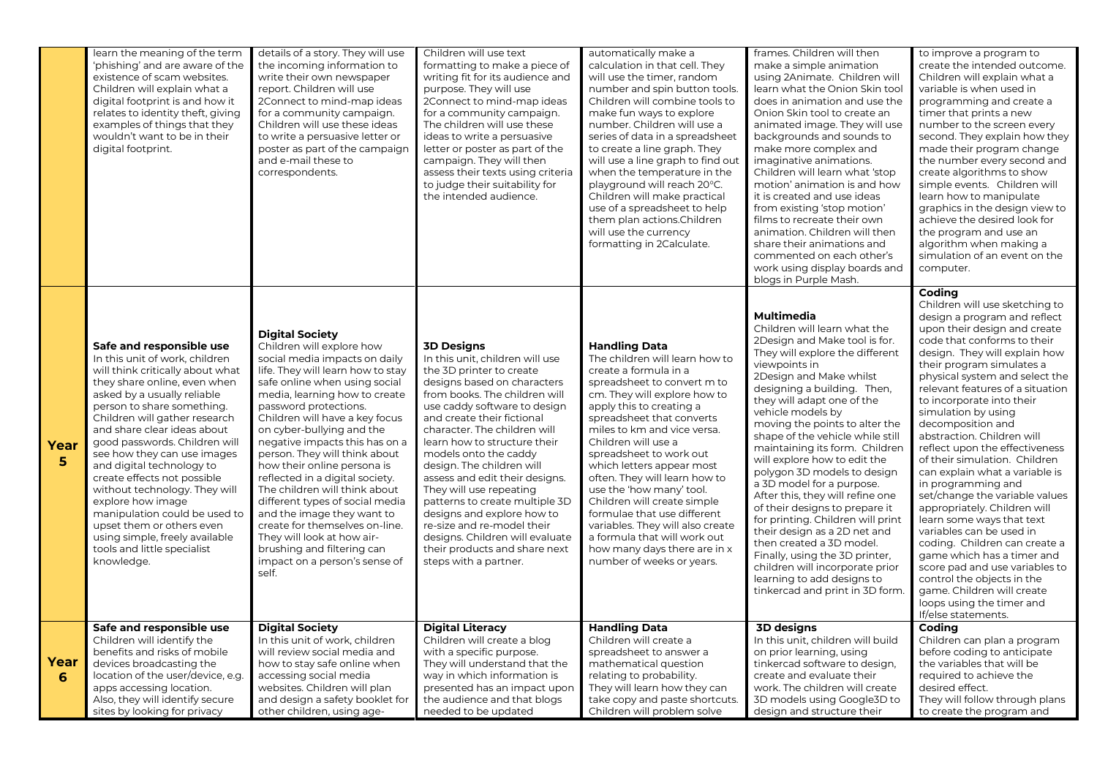|            | learn the meaning of the term<br>'phishing' and are aware of the<br>existence of scam websites.<br>Children will explain what a<br>digital footprint is and how it<br>relates to identity theft, giving<br>examples of things that they<br>wouldn't want to be in their<br>digital footprint.                                                                                                                                                                                                                                                                                              | details of a story. They will use<br>the incoming information to<br>write their own newspaper<br>report. Children will use<br>2Connect to mind-map ideas<br>for a community campaign.<br>Children will use these ideas<br>to write a persuasive letter or<br>poster as part of the campaign<br>and e-mail these to<br>correspondents.                                                                                                                                                                                                                                                                                                                              | Children will use text<br>formatting to make a piece of<br>writing fit for its audience and<br>purpose. They will use<br>2Connect to mind-map ideas<br>for a community campaign.<br>The children will use these<br>ideas to write a persuasive<br>letter or poster as part of the<br>campaign. They will then<br>assess their texts using criteria<br>to judge their suitability for<br>the intended audience.                                                                                                                                                                               | automatically make a<br>calculation in that cell. They<br>will use the timer, random<br>number and spin button tools.<br>Children will combine tools to<br>make fun ways to explore<br>number. Children will use a<br>series of data in a spreadsheet<br>to create a line graph. They<br>will use a line graph to find out<br>when the temperature in the<br>playground will reach 20°C.<br>Children will make practical<br>use of a spreadsheet to help<br>them plan actions. Children<br>will use the currency<br>formatting in 2Calculate.                                     | frames. Children will then<br>make a simple animation<br>using 2Animate. Children will<br>learn what the Onion Skin tool<br>does in animation and use the<br>Onion Skin tool to create an<br>animated image. They will use<br>backgrounds and sounds to<br>make more complex and<br>imaginative animations.<br>Children will learn what 'stop<br>motion' animation is and how<br>it is created and use ideas<br>from existing 'stop motion'<br>films to recreate their own<br>animation. Children will then<br>share their animations and<br>commented on each other's<br>work using display boards and<br>blogs in Purple Mash.                                                                                                                                     | to improve a program to<br>create the intended outcome.<br>Children will explain what a<br>variable is when used in<br>programming and create a<br>timer that prints a new<br>number to the screen every<br>second. They explain how they<br>made their program change<br>the number every second and<br>create algorithms to show<br>simple events. Children will<br>learn how to manipulate<br>graphics in the design view to<br>achieve the desired look for<br>the program and use an<br>algorithm when making a<br>simulation of an event on the<br>computer.                                                                                                                                                                                                                                                                                        |
|------------|--------------------------------------------------------------------------------------------------------------------------------------------------------------------------------------------------------------------------------------------------------------------------------------------------------------------------------------------------------------------------------------------------------------------------------------------------------------------------------------------------------------------------------------------------------------------------------------------|--------------------------------------------------------------------------------------------------------------------------------------------------------------------------------------------------------------------------------------------------------------------------------------------------------------------------------------------------------------------------------------------------------------------------------------------------------------------------------------------------------------------------------------------------------------------------------------------------------------------------------------------------------------------|----------------------------------------------------------------------------------------------------------------------------------------------------------------------------------------------------------------------------------------------------------------------------------------------------------------------------------------------------------------------------------------------------------------------------------------------------------------------------------------------------------------------------------------------------------------------------------------------|-----------------------------------------------------------------------------------------------------------------------------------------------------------------------------------------------------------------------------------------------------------------------------------------------------------------------------------------------------------------------------------------------------------------------------------------------------------------------------------------------------------------------------------------------------------------------------------|----------------------------------------------------------------------------------------------------------------------------------------------------------------------------------------------------------------------------------------------------------------------------------------------------------------------------------------------------------------------------------------------------------------------------------------------------------------------------------------------------------------------------------------------------------------------------------------------------------------------------------------------------------------------------------------------------------------------------------------------------------------------|-----------------------------------------------------------------------------------------------------------------------------------------------------------------------------------------------------------------------------------------------------------------------------------------------------------------------------------------------------------------------------------------------------------------------------------------------------------------------------------------------------------------------------------------------------------------------------------------------------------------------------------------------------------------------------------------------------------------------------------------------------------------------------------------------------------------------------------------------------------|
| Year<br>5  | Safe and responsible use<br>In this unit of work, children<br>will think critically about what<br>they share online, even when<br>asked by a usually reliable<br>person to share something.<br>Children will gather research<br>and share clear ideas about<br>good passwords. Children will<br>see how they can use images<br>and digital technology to<br>create effects not possible<br>without technology. They will<br>explore how image<br>manipulation could be used to<br>upset them or others even<br>using simple, freely available<br>tools and little specialist<br>knowledge. | <b>Digital Society</b><br>Children will explore how<br>social media impacts on daily<br>life. They will learn how to stay<br>safe online when using social<br>media, learning how to create<br>password protections.<br>Children will have a key focus<br>on cyber-bullying and the<br>negative impacts this has on a<br>person. They will think about<br>how their online persona is<br>reflected in a digital society.<br>The children will think about<br>different types of social media<br>and the image they want to<br>create for themselves on-line.<br>They will look at how air-<br>brushing and filtering can<br>impact on a person's sense of<br>self. | <b>3D Designs</b><br>In this unit, children will use<br>the 3D printer to create<br>designs based on characters<br>from books. The children will<br>use caddy software to design<br>and create their fictional<br>character. The children will<br>learn how to structure their<br>models onto the caddy<br>design. The children will<br>assess and edit their designs.<br>They will use repeating<br>patterns to create multiple 3D<br>designs and explore how to<br>re-size and re-model their<br>designs. Children will evaluate<br>their products and share next<br>steps with a partner. | <b>Handling Data</b><br>The children will learn how to<br>create a formula in a<br>spreadsheet to convert m to<br>cm. They will explore how to<br>apply this to creating a<br>spreadsheet that converts<br>miles to km and vice versa.<br>Children will use a<br>spreadsheet to work out<br>which letters appear most<br>often. They will learn how to<br>use the 'how many' tool.<br>Children will create simple<br>formulae that use different<br>variables. They will also create<br>a formula that will work out<br>how many days there are in x<br>number of weeks or years. | <b>Multimedia</b><br>Children will learn what the<br>2Design and Make tool is for.<br>They will explore the different<br>viewpoints in<br>2Design and Make whilst<br>designing a building. Then,<br>they will adapt one of the<br>vehicle models by<br>moving the points to alter the<br>shape of the vehicle while still<br>maintaining its form. Children<br>will explore how to edit the<br>polygon 3D models to design<br>a 3D model for a purpose.<br>After this, they will refine one<br>of their designs to prepare it<br>for printing. Children will print<br>their design as a 2D net and<br>then created a 3D model.<br>Finally, using the 3D printer,<br>children will incorporate prior<br>learning to add designs to<br>tinkercad and print in 3D form. | Coding<br>Children will use sketching to<br>design a program and reflect<br>upon their design and create<br>code that conforms to their<br>design. They will explain how<br>their program simulates a<br>physical system and select the<br>relevant features of a situation<br>to incorporate into their<br>simulation by using<br>decomposition and<br>abstraction. Children will<br>reflect upon the effectiveness<br>of their simulation. Children<br>can explain what a variable is<br>in programming and<br>set/change the variable values<br>appropriately. Children will<br>learn some ways that text<br>variables can be used in<br>coding. Children can create a<br>game which has a timer and<br>score pad and use variables to<br>control the objects in the<br>game. Children will create<br>loops using the timer and<br>If/else statements. |
| Year<br>-6 | Safe and responsible use<br>Children will identify the<br>benefits and risks of mobile<br>devices broadcasting the<br>location of the user/device, e.g.<br>apps accessing location.<br>Also, they will identify secure<br>sites by looking for privacy                                                                                                                                                                                                                                                                                                                                     | <b>Digital Society</b><br>In this unit of work, children<br>will review social media and<br>how to stay safe online when<br>accessing social media<br>websites. Children will plan<br>and design a safety booklet for<br>other children, using age-                                                                                                                                                                                                                                                                                                                                                                                                                | <b>Digital Literacy</b><br>Children will create a blog<br>with a specific purpose.<br>They will understand that the<br>way in which information is<br>presented has an impact upor<br>the audience and that blogs<br>needed to be updated                                                                                                                                                                                                                                                                                                                                                    | <b>Handling Data</b><br>Children will create a<br>spreadsheet to answer a<br>mathematical question<br>relating to probability.<br>They will learn how they can<br>take copy and paste shortcuts.<br>Children will problem solve                                                                                                                                                                                                                                                                                                                                                   | <b>3D designs</b><br>In this unit, children will build<br>on prior learning, using<br>tinkercad software to design,<br>create and evaluate their<br>work. The children will create<br>3D models using Google3D to<br>design and structure their                                                                                                                                                                                                                                                                                                                                                                                                                                                                                                                      | Coding<br>Children can plan a program<br>before coding to anticipate<br>the variables that will be<br>required to achieve the<br>desired effect.<br>They will follow through plans<br>to create the program and                                                                                                                                                                                                                                                                                                                                                                                                                                                                                                                                                                                                                                           |